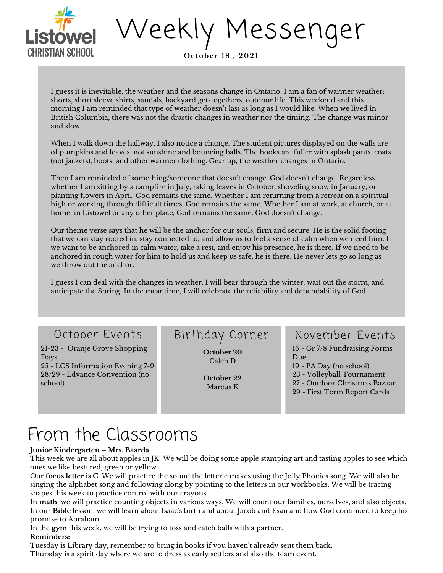

Weekly Messenger

**O c tobe r 1 8 , 2 0 21**

I guess it is inevitable, the weather and the seasons change in Ontario. I am a fan of warmer weather; shorts, short sleeve shirts, sandals, backyard get-togethers, outdoor life. This weekend and this morning I am reminded that type of weather doesn't last as long as I would like. When we lived in British Columbia, there was not the drastic changes in weather nor the timing. The change was minor and slow.

When I walk down the hallway, I also notice a change. The student pictures displayed on the walls are of pumpkins and leaves, not sunshine and bouncing balls. The hooks are fuller with splash pants, coats (not jackets), boots, and other warmer clothing. Gear up, the weather changes in Ontario.

Then I am reminded of something/someone that doesn't change. God doesn't change. Regardless, whether I am sitting by a campfire in July, raking leaves in October, shoveling snow in January, or planting flowers in April, God remains the same. Whether I am returning from a retreat on a spiritual high or working through difficult times, God remains the same. Whether I am at work, at church, or at home, in Listowel or any other place, God remains the same. God doesn't change.

Our theme verse says that he will be the anchor for our souls, firm and secure. He is the solid footing that we can stay rooted in, stay connected to, and allow us to feel a sense of calm when we need him. If we want to be anchored in calm water, take a rest, and enjoy his presence, he is there. If we need to be anchored in rough water for him to hold us and keep us safe, he is there. He never lets go so long as we throw out the anchor.

I guess I can deal with the changes in weather. I will bear through the winter, wait out the storm, and anticipate the Spring. In the meantime, I will celebrate the reliability and dependability of God.

21-23 - Oranje Grove Shopping Days 25 - LCS Information Evening 7-9 28/29 - Edvance Convention (no school)

**October 20** Caleb D

> **October 22** Marcus K

## October Events Birthday Corner November Events

 - Gr 7/8 Fundraising Forms Due - PA Day (no school) - Volleyball Tournament - Outdoor Christmas Bazaar - First Term Report Cards

# From the Classrooms

### **Junior Kindergarten – Mrs. Baarda**

This week we are all about apples in JK! We will be doing some apple stamping art and tasting apples to see which ones we like best: red, green or yellow.

Our **focus letter is C**. We will practice the sound the letter c makes using the Jolly Phonics song. We will also be singing the alphabet song and following along by pointing to the letters in our workbooks. We will be tracing shapes this week to practice control with our crayons.

In **math**, we will practice counting objects in various ways. We will count our families, ourselves, and also objects. In our **Bible** lesson, we will learn about Isaac's birth and about Jacob and Esau and how God continued to keep his promise to Abraham.

In the **gym** this week, we will be trying to toss and catch balls with a partner. **Reminders:**

Tuesday is Library day, remember to bring in books if you haven't already sent them back. Thursday is a spirit day where we are to dress as early settlers and also the team event.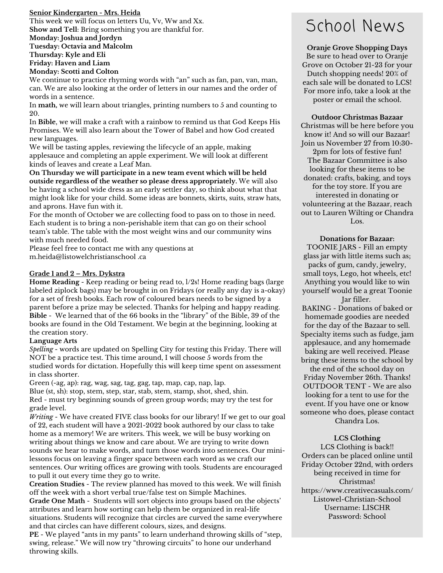#### **Senior Kindergarten - Mrs. Heida**

This week we will focus on letters Uu, Vv, Ww and Xx. **Show and Tell**: Bring something you are thankful for. **Monday: Joshua and Jordyn Tuesday: Octavia and Malcolm Thursday: Kyle and Eli Friday: Haven and Liam Monday: Scotti and Colton**

We continue to practice rhyming words with "an" such as fan, pan, van, man, can. We are also looking at the order of letters in our names and the order of words in a sentence.

In **math,** we will learn about triangles, printing numbers to 5 and counting to 20.

In **Bible**, we will make a craft with a rainbow to remind us that God Keeps His Promises. We will also learn about the Tower of Babel and how God created new languages.

We will be tasting apples, reviewing the lifecycle of an apple, making applesauce and completing an apple experiment. We will look at different kinds of leaves and create a Leaf Man.

**On Thursday we will participate in a new team event which will be held outside regardless of the weather so please dress appropriately.** We will also be having a school wide dress as an early settler day, so think about what that might look like for your child. Some ideas are bonnets, skirts, suits, straw hats, and aprons. Have fun with it.

For the month of October we are collecting food to pass on to those in need. Each student is to bring a non-perishable item that can go on their school team's table. The table with the most weight wins and our community wins with much needed food.

Please feel free to contact me with any questions at m.heida@listowelchristianschool .ca

#### **Grade 1 and 2 – Mrs. Dykstra**

**Home Reading** - Keep reading or being read to, l/2s! Home reading bags (large labeled ziplock bags) may be brought in on Fridays (or really any day is a-okay) for a set of fresh books. Each row of coloured bears needs to be signed by a parent before a prize may be selected. Thanks for helping and happy reading. **Bible** - We learned that of the 66 books in the "library" of the Bible, 39 of the books are found in the Old Testament. We begin at the beginning, looking at the creation story.

#### **Language Arts**

*Spelling -* words are updated on [Spelling](https://www.spellingcity.com/users/ddd8482) City for testing this Friday. There will NOT be a practice test. This time around, I will choose 5 words from the studied words for dictation. Hopefully this will keep time spent on assessment in class shorter.

Green (-ag, ap): rag, wag, sag, tag, gag, tap, map, cap, nap, lap. Blue (st, sh): stop, stem, step, star, stab, stem, stamp, shot, shed, shin. Red - must try beginning sounds of green group words; may try the test for grade level.

*Writing* - We have created FIVE class books for our library! If we get to our goal of 22, each student will have a 2021-2022 book authored by our class to take home as a memory! We are writers. This week, we will be busy working on writing about things we know and care about. We are trying to write down sounds we hear to make words, and turn those words into sentences. Our minilessons focus on leaving a finger space between each word as we craft our sentences. Our writing offices are growing with tools. Students are encouraged to pull it out every time they go to write.

**Creation Studies** - The review planned has moved to this week. We will finish off the week with a short verbal true/false test on Simple Machines.

**Grade One Math** - Students will sort objects into groups based on the objects' attributes and learn how sorting can help them be organized in real-life situations. Students will recognize that circles are curved the same everywhere and that circles can have different colours, sizes, and designs.

**PE** - We played "ants in my pants" to learn underhand throwing skills of "step, swing, release." We will now try "throwing circuits" to hone our underhand throwing skills.

# School News

**Oranje Grove Shopping Days** Be sure to head over to Oranje Grove on October 21-23 for your Dutch shopping needs! 20% of each sale will be donated to LCS! For more info, take a look at the poster or email the school.

**Outdoor Christmas Bazaar** Christmas will be here before you know it! And so will our Bazaar! Join us November 27 from 10:30- 2pm for lots of festive fun! The Bazaar Committee is also looking for these items to be donated: crafts, baking, and toys for the toy store. If you are interested in donating or volunteering at the Bazaar, reach out to Lauren Wilting or Chandra Los.

**Donations for Bazaar:** TOONIE JARS - Fill an empty

glass jar with little items such as; packs of gum, candy, jewelry, small toys, Lego, hot wheels, etc! Anything you would like to win yourself would be a great Toonie Jar filler.

BAKING - Donations of baked or homemade goodies are needed for the day of the Bazaar to sell. Specialty items such as fudge, jam applesauce, and any homemade baking are well received. Please bring these items to the school by the end of the school day on Friday November 26th. Thanks! OUTDOOR TENT - We are also looking for a tent to use for the event. If you have one or know someone who does, please contact Chandra Los.

#### **LCS Clothing**

LCS Clothing is back!! Orders can be placed online until Friday October 22nd, with orders being received in time for Christmas! [https://www.creativecasuals.com/](https://www.creativecasuals.com/Listowel-Christian-School?fbclid=IwAR1ForuBTG5Wo34WUwfx-v9SGyU8yd9nafJr5MbEBoALpGvtOrGuZXSyiq8) Listowel-Christian-School Username: LISCHR Password: School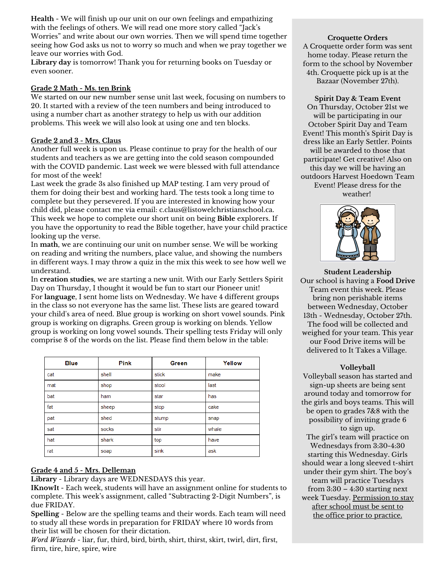**Health** - We will finish up our unit on our own feelings and empathizing with the feelings of others. We will read one more story called "Jack's Worries" and write about our own worries. Then we will spend time together seeing how God asks us not to worry so much and when we pray together we leave our worries with God.

**Library day** is tomorrow! Thank you for returning books on Tuesday or even sooner.

#### **Grade 2 Math - Ms. ten Brink**

We started on our new number sense unit last week, focusing on numbers to 20. It started with a review of the teen numbers and being introduced to using a number chart as another strategy to help us with our addition problems. This week we will also look at using one and ten blocks.

#### **Grade 2 and 3 - Mrs. Claus**

Another full week is upon us. Please continue to pray for the health of our students and teachers as we are getting into the cold season compounded with the COVID pandemic. Last week we were blessed with full attendance for most of the week!

Last week the grade 3s also finished up MAP testing. I am very proud of them for doing their best and working hard. The tests took a long time to complete but they persevered. If you are interested in knowing how your child did, please contact me via email: [c.claus@listowelchristianschool.ca](mailto:c.claus@listowelchristianschool.ca). This week we hope to complete our short unit on being **Bible** explorers. If you have the opportunity to read the Bible together, have your child practice looking up the verse.

In **math**, we are continuing our unit on number sense. We will be working on reading and writing the numbers, place value, and showing the numbers in different ways. I may throw a quiz in the mix this week to see how well we understand.

In **creation studies**, we are starting a new unit. With our Early Settlers Spirit Day on Thursday, I thought it would be fun to start our Pioneer unit! For **language**, I sent home lists on Wednesday. We have 4 different groups in the class so not everyone has the same list. These lists are geared toward your child's area of need. Blue group is working on short vowel sounds. Pink group is working on digraphs. Green group is working on blends. Yellow group is working on long vowel sounds. Their spelling tests Friday will only comprise 8 of the words on the list. Please find them below in the table:

| <b>Blue</b> | <b>Pink</b> | Green | Yellow |
|-------------|-------------|-------|--------|
| cat         | shell       | stick | make   |
| mat         | shop        | stool | last   |
| bat         | ham         | star  | has    |
| fat         | sheep       | stop  | cake   |
| pat         | shed        | stump | snap   |
| sat         | socks       | stir  | whale  |
| hat         | shark       | top   | have   |
| rat         | soap        | sink  | ask    |

### **Grade 4 and 5 - Mrs. Delleman**

**Library** - Library days are WEDNESDAYS this year.

**IKnowIt** - Each week, students will have an assignment online for students to complete. This week's assignment, called "Subtracting 2-Digit Numbers", is due FRIDAY.

**Spelling** - Below are the spelling teams and their words. Each team will need to study all these words in preparation for FRIDAY where 10 words from their list will be chosen for their dictation.

*Word Wizards* - liar, fur, third, bird, birth, shirt, thirst, skirt, twirl, dirt, first, firm, tire, hire, spire, wire

**Croquette Orders** A Croquette order form was sent home today. Please return the form to the school by November 4th. Croquette pick up is at the Bazaar (November 27th).

#### **Spirit Day & Team Event**

On Thursday, October 21st we will be participating in our October Spirit Day and Team Event! This month's Spirit Day is dress like an Early Settler. Points will be awarded to those that participate! Get creative! Also on this day we will be having an outdoors Harvest Hoedown Team Event! Please dress for the weather!



**Student Leadership** Our school is having a **Food Drive** Team event this week. Please bring non perishable items between Wednesday, October 13th - Wednesday, October 27th. The food will be collected and weighed for your team. This year our Food Drive items will be delivered to It Takes a Village.

#### **Volleyball**

Volleyball season has started and sign-up sheets are being sent around today and tomorrow for the girls and boys teams. This will be open to grades 7&8 with the possibility of inviting grade 6 to sign up. The girl's team will practice on Wednesdays from 3:30-4:30 starting this Wednesday. Girls should wear a long sleeved t-shirt under their gym shirt. The boy's team will practice Tuesdays from 3:30 – 4:30 starting next week Tuesday. Permission to stay after school must be sent to the office prior to practice.